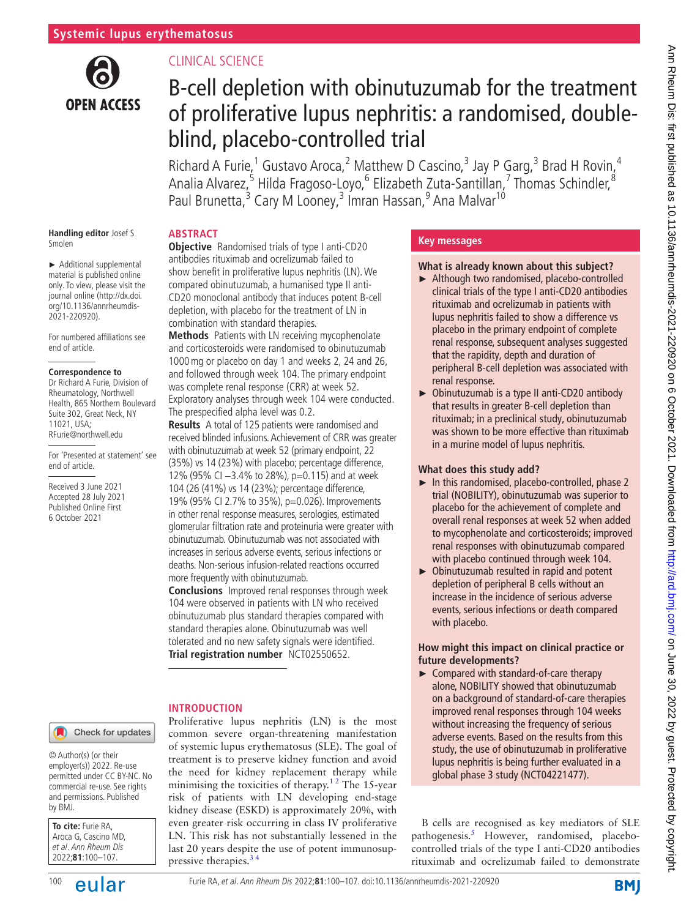

# CLINICAL SCIENCE

# B-cell depletion with obinutuzumab for the treatment of proliferative lupus nephritis: a randomised, doubleblind, placebo-controlled trial

Richard A Furie,<sup>1</sup> Gustavo Aroca,<sup>2</sup> Matthew D Cascino,<sup>3</sup> Jay P Garg,<sup>3</sup> Brad H Rovin,<sup>4</sup> Analia Alvarez,<sup>5</sup> Hilda Fragoso-Loyo,<sup>6</sup> Elizabeth Zuta-Santillan,<sup>7</sup> Thomas Schindler,<sup>8</sup> Paul Brunetta,<sup>3</sup> Cary M Looney,<sup>3</sup> Imran Hassan,<sup>9</sup> Ana Malvar<sup>10</sup>

# **ABSTRACT**

► Additional supplemental material is published online only. To view, please visit the journal online ([http://dx.doi.](http://dx.doi.org/10.1136/annrheumdis-2021-220920) [org/10.1136/annrheumdis-](http://dx.doi.org/10.1136/annrheumdis-2021-220920)[2021-220920\)](http://dx.doi.org/10.1136/annrheumdis-2021-220920).

**Handling editor** Josef S

Smolen

For numbered affiliations see end of article.

#### **Correspondence to**

Dr Richard A Furie, Division of Rheumatology, Northwell Health, 865 Northern Boulevard Suite 302, Great Neck, NY 11021, USA; RFurie@northwell.edu

For 'Presented at statement' see end of article.

Received 3 June 2021 Accepted 28 July 2021 Published Online First 6 October 2021

**Objective** Randomised trials of type I anti-CD20 antibodies rituximab and ocrelizumab failed to show benefit in proliferative lupus nephritis (LN). We compared obinutuzumab, a humanised type II anti-CD20 monoclonal antibody that induces potent B-cell depletion, with placebo for the treatment of LN in combination with standard therapies.

**Methods** Patients with LN receiving mycophenolate and corticosteroids were randomised to obinutuzumab 1000mg or placebo on day 1 and weeks 2, 24 and 26, and followed through week 104. The primary endpoint was complete renal response (CRR) at week 52. Exploratory analyses through week 104 were conducted. The prespecified alpha level was 0.2.

**Results** A total of 125 patients were randomised and received blinded infusions. Achievement of CRR was greater with obinutuzumab at week 52 (primary endpoint, 22 (35%) vs 14 (23%) with placebo; percentage difference, 12% (95% CI −3.4% to 28%), p=0.115) and at week 104 (26 (41%) vs 14 (23%); percentage difference, 19% (95% CI 2.7% to 35%), p=0.026). Improvements in other renal response measures, serologies, estimated glomerular filtration rate and proteinuria were greater with obinutuzumab. Obinutuzumab was not associated with increases in serious adverse events, serious infections or deaths. Non-serious infusion-related reactions occurred

more frequently with obinutuzumab.

**Conclusions** Improved renal responses through week 104 were observed in patients with LN who received obinutuzumab plus standard therapies compared with standard therapies alone. Obinutuzumab was well tolerated and no new safety signals were identified. **Trial registration number** <NCT02550652>.

## **INTRODUCTION**

Proliferative lupus nephritis (LN) is the most common severe organ-threatening manifestation of systemic lupus erythematosus (SLE). The goal of treatment is to preserve kidney function and avoid the need for kidney replacement therapy while minimising the toxicities of therapy.<sup>12</sup> The 15-year risk of patients with LN developing end-stage kidney disease (ESKD) is approximately 20%, with even greater risk occurring in class IV proliferative LN. This risk has not substantially lessened in the last 20 years despite the use of potent immunosuppressive therapies.<sup>34</sup>

# **Key messages**

## **What is already known about this subject?**

- ► Although two randomised, placebo-controlled clinical trials of the type I anti-CD20 antibodies rituximab and ocrelizumab in patients with lupus nephritis failed to show a difference vs placebo in the primary endpoint of complete renal response, subsequent analyses suggested that the rapidity, depth and duration of peripheral B-cell depletion was associated with renal response.
- ► Obinutuzumab is a type II anti-CD20 antibody that results in greater B-cell depletion than rituximab; in a preclinical study, obinutuzumab was shown to be more effective than rituximab in a murine model of lupus nephritis.

## **What does this study add?**

- ► In this randomised, placebo-controlled, phase 2 trial (NOBILITY), obinutuzumab was superior to placebo for the achievement of complete and overall renal responses at week 52 when added to mycophenolate and corticosteroids; improved renal responses with obinutuzumab compared with placebo continued through week 104.
- ► Obinutuzumab resulted in rapid and potent depletion of peripheral B cells without an increase in the incidence of serious adverse events, serious infections or death compared with placebo.

## **How might this impact on clinical practice or future developments?**

► Compared with standard-of-care therapy alone, NOBILITY showed that obinutuzumab on a background of standard-of-care therapies improved renal responses through 104 weeks without increasing the frequency of serious adverse events. Based on the results from this study, the use of obinutuzumab in proliferative lupus nephritis is being further evaluated in a global phase 3 study (NCT04221477).

B cells are recognised as key mediators of SLE pathogenesis.<sup>[5](#page-7-2)</sup> However, randomised, placebocontrolled trials of the type I anti-CD20 antibodies rituximab and ocrelizumab failed to demonstrate

#### Check for updates

© Author(s) (or their employer(s)) 2022. Re-use permitted under CC BY-NC. No commercial re-use. See rights and permissions. Published by BMJ.

**To cite:** Furie RA, Aroca G, Cascino MD, et al. Ann Rheum Dis 2022;**81**:100–107.

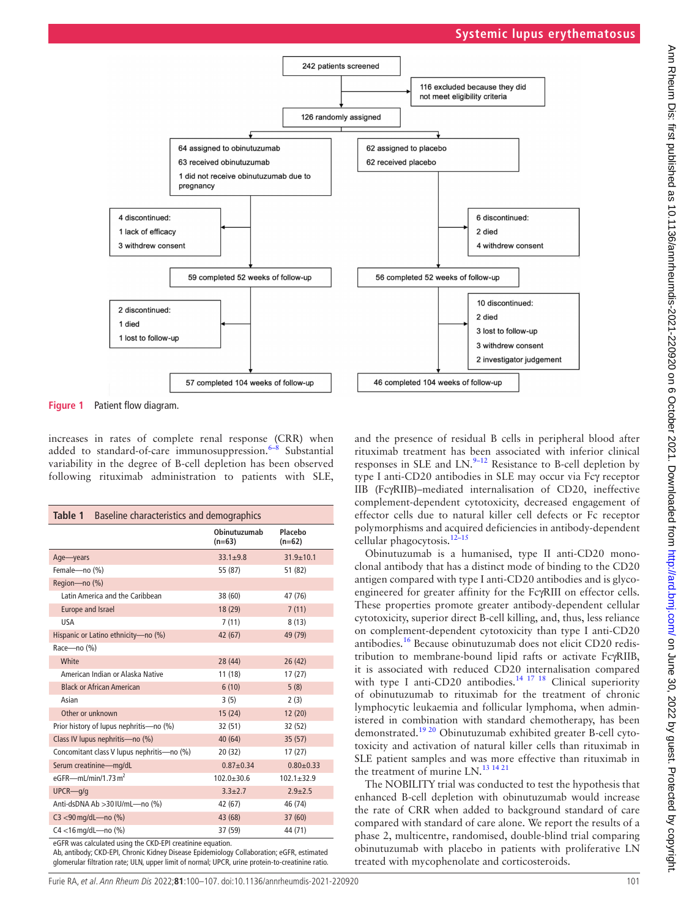



<span id="page-1-0"></span>**Figure 1** Patient flow diagram.

increases in rates of complete renal response (CRR) when added to standard-of-care immunosuppression. $6-8$  Substantial variability in the degree of B-cell depletion has been observed following rituximab administration to patients with SLE,

<span id="page-1-1"></span>

| Table 1 Baseline characteristics and demographics |                          |                     |  |  |  |
|---------------------------------------------------|--------------------------|---------------------|--|--|--|
|                                                   | Obinutuzumab<br>$(n=63)$ | Placebo<br>$(n=62)$ |  |  |  |
| Age-years                                         | $33.1 \pm 9.8$           | $31.9 \pm 10.1$     |  |  |  |
| Female-no (%)                                     | 55 (87)                  | 51 (82)             |  |  |  |
| Region-no (%)                                     |                          |                     |  |  |  |
| Latin America and the Caribbean                   | 38 (60)                  | 47 (76)             |  |  |  |
| Europe and Israel                                 | 18 (29)                  | 7(11)               |  |  |  |
| <b>USA</b>                                        | 7(11)                    | 8(13)               |  |  |  |
| Hispanic or Latino ethnicity-no (%)               | 42 (67)                  | 49 (79)             |  |  |  |
| Race-no (%)                                       |                          |                     |  |  |  |
| White                                             | 28 (44)                  | 26(42)              |  |  |  |
| American Indian or Alaska Native                  | 11 (18)                  | 17(27)              |  |  |  |
| <b>Black or African American</b>                  | 6(10)                    | 5(8)                |  |  |  |
| Asian                                             | 3(5)                     | 2(3)                |  |  |  |
| Other or unknown                                  | 15(24)                   | 12(20)              |  |  |  |
| Prior history of lupus nephritis-no (%)           | 32 (51)                  | 32 (52)             |  |  |  |
| Class IV lupus nephritis-no (%)                   | 40 (64)                  | 35(57)              |  |  |  |
| Concomitant class V lupus nephritis-no (%)        | 20(32)                   | 17(27)              |  |  |  |
| Serum creatinine-mg/dL                            | $0.87 + 0.34$            | $0.80 \pm 0.33$     |  |  |  |
| eGFR- $-mL/min/1.73 m2$                           | $102.0 \pm 30.6$         | $102.1 \pm 32.9$    |  |  |  |
| $UPCR$ <sub>g/g</sub>                             | $3.3 + 2.7$              | $2.9 + 2.5$         |  |  |  |
| Anti-dsDNA Ab >30 IU/mL-no (%)                    | 42 (67)                  | 46 (74)             |  |  |  |
| $C3 < 90$ mg/dL—no $(\%)$                         | 43 (68)                  | 37(60)              |  |  |  |
| C4 <16 mg/dL-no (%)                               | 37 (59)                  | 44 (71)             |  |  |  |

eGFR was calculated using the CKD-EPI creatinine equation.

Ab, antibody; CKD-EPI, Chronic Kidney Disease Epidemiology Collaboration; eGFR, estimated glomerular filtration rate; ULN, upper limit of normal; UPCR, urine protein-to-creatinine ratio.

Furie RA, et al. Ann Rheum Dis 2022;**81**:100–107. doi:10.1136/annrheumdis-2021-220920 101

and the presence of residual B cells in peripheral blood after rituximab treatment has been associated with inferior clinical responses in SLE and  $LN^{9-12}$  Resistance to B-cell depletion by type I anti-CD20 antibodies in SLE may occur via Fcγ receptor IIB (FcγRIIB)–mediated internalisation of CD20, ineffective complement-dependent cytotoxicity, decreased engagement of effector cells due to natural killer cell defects or Fc receptor polymorphisms and acquired deficiencies in antibody-dependent cellular phagocytosis[.12–15](#page-7-5)

Obinutuzumab is a humanised, type II anti-CD20 monoclonal antibody that has a distinct mode of binding to the CD20 antigen compared with type I anti-CD20 antibodies and is glycoengineered for greater affinity for the FcγRIII on effector cells. These properties promote greater antibody-dependent cellular cytotoxicity, superior direct B-cell killing, and, thus, less reliance on complement-dependent cytotoxicity than type I anti-CD20 antibodies.[16](#page-7-6) Because obinutuzumab does not elicit CD20 redistribution to membrane-bound lipid rafts or activate FcγRIIB, it is associated with reduced CD20 internalisation compared with type I anti-CD20 antibodies.<sup>[14 17 18](#page-7-7)</sup> Clinical superiority of obinutuzumab to rituximab for the treatment of chronic lymphocytic leukaemia and follicular lymphoma, when administered in combination with standard chemotherapy, has been demonstrated.[19 20](#page-7-8) Obinutuzumab exhibited greater B-cell cytotoxicity and activation of natural killer cells than rituximab in SLE patient samples and was more effective than rituximab in the treatment of murine LN.<sup>[13 14 21](#page-7-9)</sup>

The NOBILITY trial was conducted to test the hypothesis that enhanced B-cell depletion with obinutuzumab would increase the rate of CRR when added to background standard of care compared with standard of care alone. We report the results of a phase 2, multicentre, randomised, double-blind trial comparing obinutuzumab with placebo in patients with proliferative LN treated with mycophenolate and corticosteroids.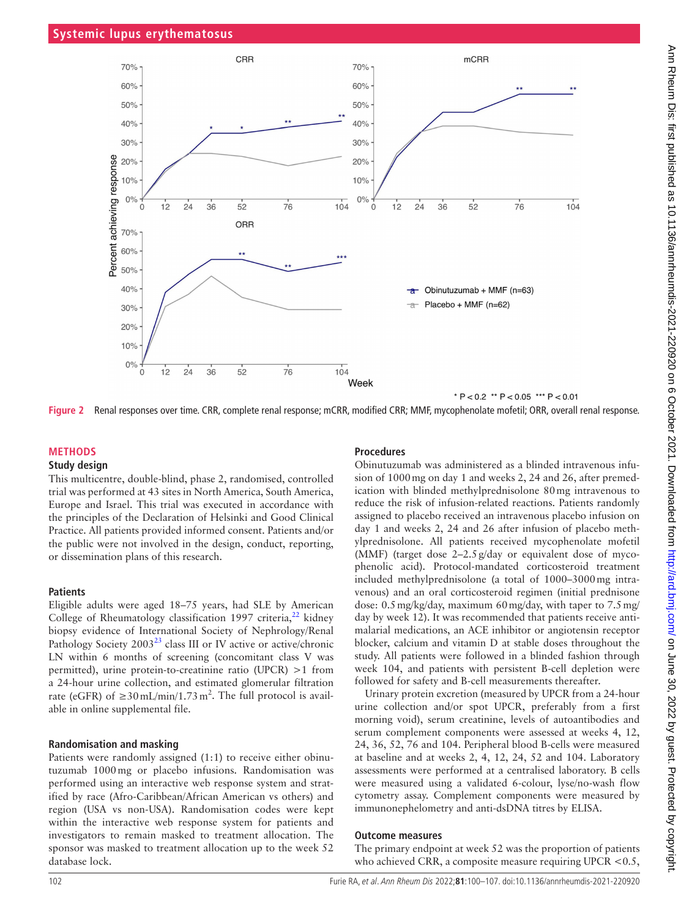

<span id="page-2-0"></span>**Figure 2** Renal responses over time. CRR, complete renal response; mCRR, modified CRR; MMF, mycophenolate mofetil; ORR, overall renal response.

## **METHODS**

#### **Study design**

This multicentre, double-blind, phase 2, randomised, controlled trial was performed at 43 sites in North America, South America, Europe and Israel. This trial was executed in accordance with the principles of the Declaration of Helsinki and Good Clinical Practice. All patients provided informed consent. Patients and/or the public were not involved in the design, conduct, reporting, or dissemination plans of this research.

### **Patients**

Eligible adults were aged 18–75 years, had SLE by American College of Rheumatology classification 1997 criteria, $^{22}$  kidney biopsy evidence of International Society of Nephrology/Renal Pathology Society 2003<sup>[23](#page-7-11)</sup> class III or IV active or active/chronic LN within 6 months of screening (concomitant class V was permitted), urine protein-to-creatinine ratio (UPCR) >1 from a 24-hour urine collection, and estimated glomerular filtration rate (eGFR) of  $\geq$ 30 mL/min/1.73 m<sup>2</sup>. The full protocol is available in [online supplemental file.](https://dx.doi.org/10.1136/annrheumdis-2021-220920)

## **Randomisation and masking**

Patients were randomly assigned (1:1) to receive either obinutuzumab 1000mg or placebo infusions. Randomisation was performed using an interactive web response system and stratified by race (Afro-Caribbean/African American vs others) and region (USA vs non-USA). Randomisation codes were kept within the interactive web response system for patients and investigators to remain masked to treatment allocation. The sponsor was masked to treatment allocation up to the week 52 database lock.

# **Procedures**

Obinutuzumab was administered as a blinded intravenous infusion of 1000mg on day 1 and weeks 2, 24 and 26, after premedication with blinded methylprednisolone 80mg intravenous to reduce the risk of infusion-related reactions. Patients randomly assigned to placebo received an intravenous placebo infusion on day 1 and weeks 2, 24 and 26 after infusion of placebo methylprednisolone. All patients received mycophenolate mofetil (MMF) (target dose 2–2.5g/day or equivalent dose of mycophenolic acid). Protocol-mandated corticosteroid treatment included methylprednisolone (a total of 1000–3000mg intravenous) and an oral corticosteroid regimen (initial prednisone dose: 0.5mg/kg/day, maximum 60mg/day, with taper to 7.5mg/ day by week 12). It was recommended that patients receive antimalarial medications, an ACE inhibitor or angiotensin receptor blocker, calcium and vitamin D at stable doses throughout the study. All patients were followed in a blinded fashion through week 104, and patients with persistent B-cell depletion were followed for safety and B-cell measurements thereafter.

Urinary protein excretion (measured by UPCR from a 24-hour urine collection and/or spot UPCR, preferably from a first morning void), serum creatinine, levels of autoantibodies and serum complement components were assessed at weeks 4, 12, 24, 36, 52, 76 and 104. Peripheral blood B-cells were measured at baseline and at weeks 2, 4, 12, 24, 52 and 104. Laboratory assessments were performed at a centralised laboratory. B cells were measured using a validated 6-colour, lyse/no-wash flow cytometry assay. Complement components were measured by immunonephelometry and anti-dsDNA titres by ELISA.

## **Outcome measures**

The primary endpoint at week 52 was the proportion of patients who achieved CRR, a composite measure requiring UPCR <  $0.5$ ,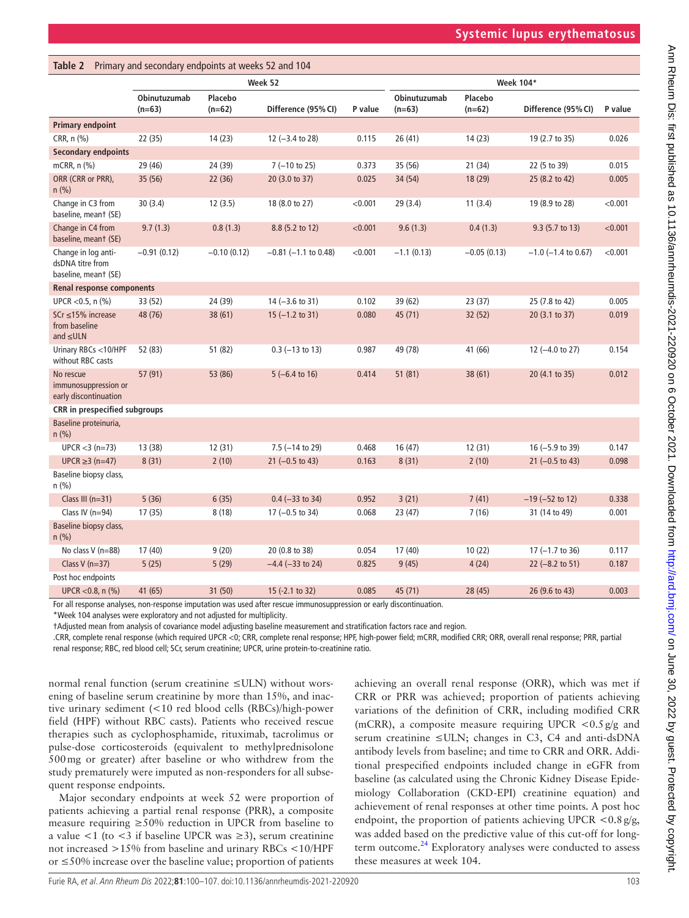<span id="page-3-0"></span>

| Primary and secondary endpoints at weeks 52 and 104<br>Table 2  |                          |                     |                            |         |                          |                     |                            |         |
|-----------------------------------------------------------------|--------------------------|---------------------|----------------------------|---------|--------------------------|---------------------|----------------------------|---------|
|                                                                 | Week 52                  |                     |                            |         | Week 104*                |                     |                            |         |
|                                                                 | Obinutuzumab<br>$(n=63)$ | Placebo<br>$(n=62)$ | Difference (95% CI)        | P value | Obinutuzumab<br>$(n=63)$ | Placebo<br>$(n=62)$ | Difference (95% CI)        | P value |
| <b>Primary endpoint</b>                                         |                          |                     |                            |         |                          |                     |                            |         |
| CRR, n (%)                                                      | 22 (35)                  | 14 (23)             | 12 (-3.4 to 28)            | 0.115   | 26(41)                   | 14(23)              | 19 (2.7 to 35)             | 0.026   |
| <b>Secondary endpoints</b>                                      |                          |                     |                            |         |                          |                     |                            |         |
| mCRR, n (%)                                                     | 29 (46)                  | 24 (39)             | $7(-10 \text{ to } 25)$    | 0.373   | 35 (56)                  | 21(34)              | 22 (5 to 39)               | 0.015   |
| ORR (CRR or PRR),<br>$n$ (%)                                    | 35 (56)                  | 22 (36)             | 20 (3.0 to 37)             | 0.025   | 34 (54)                  | 18 (29)             | 25 (8.2 to 42)             | 0.005   |
| Change in C3 from<br>baseline, meant (SE)                       | 30(3.4)                  | 12(3.5)             | 18 (8.0 to 27)             | < 0.001 | 29(3.4)                  | 11(3.4)             | 19 (8.9 to 28)             | < 0.001 |
| Change in C4 from<br>baseline, meant (SE)                       | 9.7(1.3)                 | 0.8(1.3)            | 8.8 (5.2 to 12)            | < 0.001 | 9.6(1.3)                 | 0.4(1.3)            | 9.3 (5.7 to 13)            | < 0.001 |
| Change in log anti-<br>dsDNA titre from<br>baseline, meant (SE) | $-0.91(0.12)$            | $-0.10(0.12)$       | $-0.81$ ( $-1.1$ to 0.48)  | < 0.001 | $-1.1(0.13)$             | $-0.05(0.13)$       | $-1.0$ ( $-1.4$ to 0.67)   | < 0.001 |
| Renal response components                                       |                          |                     |                            |         |                          |                     |                            |         |
| UPCR < $0.5$ , n $(\%)$                                         | 33 (52)                  | 24 (39)             | $14 (-3.6 \text{ to } 31)$ | 0.102   | 39 (62)                  | 23(37)              | 25 (7.8 to 42)             | 0.005   |
| SCr ≤15% increase<br>from baseline<br>and $\leq$ ULN            | 48 (76)                  | 38(61)              | $15 (-1.2 to 31)$          | 0.080   | 45 (71)                  | 32 (52)             | 20 (3.1 to 37)             | 0.019   |
| Urinary RBCs <10/HPF<br>without RBC casts                       | 52 (83)                  | 51 (82)             | $0.3$ (-13 to 13)          | 0.987   | 49 (78)                  | 41 (66)             | 12 (-4.0 to 27)            | 0.154   |
| No rescue<br>immunosuppression or<br>early discontinuation      | 57 (91)                  | 53 (86)             | $5(-6.4 \text{ to } 16)$   | 0.414   | 51(81)                   | 38 (61)             | 20 (4.1 to 35)             | 0.012   |
| CRR in prespecified subgroups                                   |                          |                     |                            |         |                          |                     |                            |         |
| Baseline proteinuria,<br>$n$ (%)                                |                          |                     |                            |         |                          |                     |                            |         |
| $UPCR < 3 (n=73)$                                               | 13 (38)                  | 12(31)              | $7.5$ ( $-14$ to 29)       | 0.468   | 16(47)                   | 12(31)              | 16 (-5.9 to 39)            | 0.147   |
| $UPCR ≥ 3 (n=47)$                                               | 8(31)                    | 2(10)               | $21 (-0.5 to 43)$          | 0.163   | 8(31)                    | 2(10)               | $21 (-0.5 to 43)$          | 0.098   |
| Baseline biopsy class,<br>$n$ (%)                               |                          |                     |                            |         |                          |                     |                            |         |
| Class III $(n=31)$                                              | 5(36)                    | 6(35)               | $0.4 (-33 to 34)$          | 0.952   | 3(21)                    | 7(41)               | $-19$ (-52 to 12)          | 0.338   |
| Class IV $(n=94)$                                               | 17 (35)                  | 8(18)               | $17 (-0.5 to 34)$          | 0.068   | 23(47)                   | 7(16)               | 31 (14 to 49)              | 0.001   |
| Baseline biopsy class,<br>$n$ (%)                               |                          |                     |                            |         |                          |                     |                            |         |
| No class V (n=88)                                               | 17 (40)                  | 9(20)               | 20 (0.8 to 38)             | 0.054   | 17(40)                   | 10(22)              | $17 (-1.7 to 36)$          | 0.117   |
| Class $V(n=37)$                                                 | 5(25)                    | 5(29)               | $-4.4$ ( $-33$ to 24)      | 0.825   | 9(45)                    | 4(24)               | $22 (-8.2 \text{ to } 51)$ | 0.187   |
| Post hoc endpoints                                              |                          |                     |                            |         |                          |                     |                            |         |
| UPCR < $0.8$ , n $(\%)$                                         | 41 (65)                  | 31 (50)             | 15 (-2.1 to 32)            | 0.085   | 45 (71)                  | 28 (45)             | 26 (9.6 to 43)             | 0.003   |

For all response analyses, non-response imputation was used after rescue immunosuppression or early discontinuation.

\*Week 104 analyses were exploratory and not adjusted for multiplicity.

†Adjusted mean from analysis of covariance model adjusting baseline measurement and stratification factors race and region.

.CRR, complete renal response (which required UPCR <0; CRR, complete renal response; HPF, high-power field; mCRR, modified CRR; ORR, overall renal response; PRR, partial renal response; RBC, red blood cell; SCr, serum creatinine; UPCR, urine protein-to-creatinine ratio.

normal renal function (serum creatinine ≤ULN) without worsening of baseline serum creatinine by more than 15%, and inactive urinary sediment (<10 red blood cells (RBCs)/high-power field (HPF) without RBC casts). Patients who received rescue therapies such as cyclophosphamide, rituximab, tacrolimus or pulse-dose corticosteroids (equivalent to methylprednisolone 500mg or greater) after baseline or who withdrew from the study prematurely were imputed as non-responders for all subsequent response endpoints.

Major secondary endpoints at week 52 were proportion of patients achieving a partial renal response (PRR), a composite measure requiring ≥50% reduction in UPCR from baseline to a value <1 (to <3 if baseline UPCR was  $\geq$ 3), serum creatinine not increased >15% from baseline and urinary RBCs <10/HPF or ≤50% increase over the baseline value; proportion of patients

achieving an overall renal response (ORR), which was met if CRR or PRR was achieved; proportion of patients achieving variations of the definition of CRR, including modified CRR (mCRR), a composite measure requiring UPCR  $\langle 0.5 \text{ g/g} \rangle$  and serum creatinine ≤ULN; changes in C3, C4 and anti-dsDNA antibody levels from baseline; and time to CRR and ORR. Additional prespecified endpoints included change in eGFR from baseline (as calculated using the Chronic Kidney Disease Epidemiology Collaboration (CKD-EPI) creatinine equation) and achievement of renal responses at other time points. A post hoc endpoint, the proportion of patients achieving UPCR  $<$  0.8 g/g, was added based on the predictive value of this cut-off for longterm outcome. $24$  Exploratory analyses were conducted to assess these measures at week 104.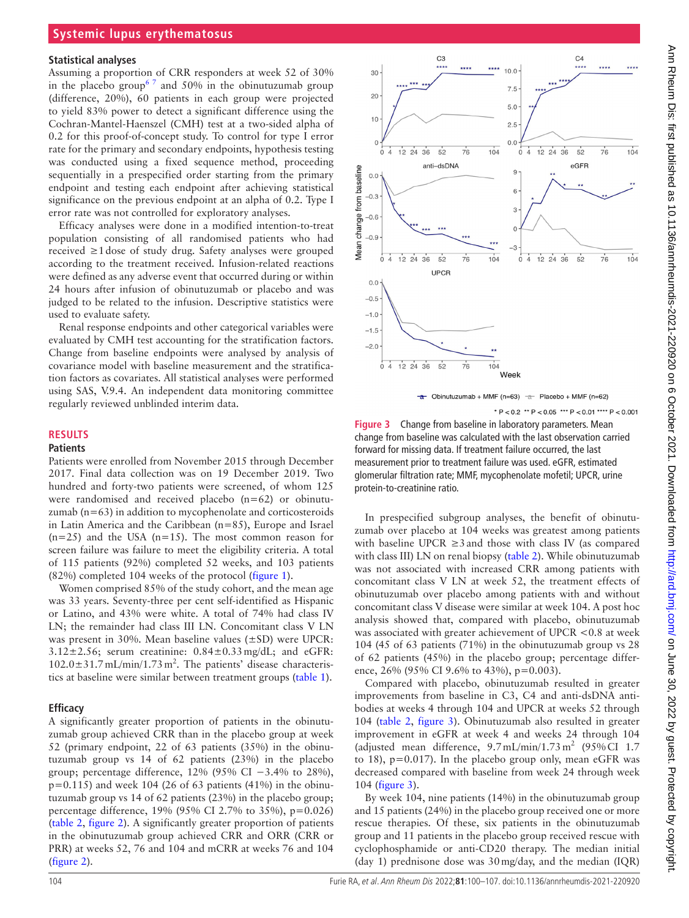#### **Statistical analyses**

Assuming a proportion of CRR responders at week 52 of 30% in the placebo group<sup>67</sup> and 50% in the obinutuzumab group (difference, 20%), 60 patients in each group were projected to yield 83% power to detect a significant difference using the Cochran-Mantel-Haenszel (CMH) test at a two-sided alpha of 0.2 for this proof-of-concept study. To control for type I error rate for the primary and secondary endpoints, hypothesis testing was conducted using a fixed sequence method, proceeding sequentially in a prespecified order starting from the primary endpoint and testing each endpoint after achieving statistical significance on the previous endpoint at an alpha of 0.2. Type I error rate was not controlled for exploratory analyses.

Efficacy analyses were done in a modified intention-to-treat population consisting of all randomised patients who had received ≥1dose of study drug. Safety analyses were grouped according to the treatment received. Infusion-related reactions were defined as any adverse event that occurred during or within 24 hours after infusion of obinutuzumab or placebo and was judged to be related to the infusion. Descriptive statistics were used to evaluate safety.

Renal response endpoints and other categorical variables were evaluated by CMH test accounting for the stratification factors. Change from baseline endpoints were analysed by analysis of covariance model with baseline measurement and the stratification factors as covariates. All statistical analyses were performed using SAS, V.9.4. An independent data monitoring committee regularly reviewed unblinded interim data.

## **RESULTS**

## **Patients**

Patients were enrolled from November 2015 through December 2017. Final data collection was on 19 December 2019. Two hundred and forty-two patients were screened, of whom 125 were randomised and received placebo (n=62) or obinutuzumab  $(n=63)$  in addition to mycophenolate and corticosteroids in Latin America and the Caribbean (n=85), Europe and Israel  $(n=25)$  and the USA  $(n=15)$ . The most common reason for screen failure was failure to meet the eligibility criteria. A total of 115 patients (92%) completed 52 weeks, and 103 patients (82%) completed 104 weeks of the protocol [\(figure](#page-1-0) 1).

Women comprised 85% of the study cohort, and the mean age was 33 years. Seventy-three per cent self-identified as Hispanic or Latino, and 43% were white. A total of 74% had class IV LN; the remainder had class III LN. Concomitant class V LN was present in 30%. Mean baseline values (±SD) were UPCR:  $3.12\pm2.56$ ; serum creatinine:  $0.84\pm0.33$  mg/dL; and eGFR:  $102.0 \pm 31.7 \,\text{mL/min}/1.73 \,\text{m}^2$ . The patients' disease characteristics at baseline were similar between treatment groups ([table](#page-1-1) 1).

#### **Efficacy**

A significantly greater proportion of patients in the obinutuzumab group achieved CRR than in the placebo group at week 52 (primary endpoint, 22 of 63 patients (35%) in the obinutuzumab group vs 14 of 62 patients (23%) in the placebo group; percentage difference, 12% (95% CI −3.4% to 28%),  $p=0.115$ ) and week 104 (26 of 63 patients (41%) in the obinutuzumab group vs 14 of 62 patients (23%) in the placebo group; percentage difference, 19% (95% CI 2.7% to 35%), p=0.026) ([table](#page-3-0) 2, [figure](#page-2-0) 2). A significantly greater proportion of patients in the obinutuzumab group achieved CRR and ORR (CRR or PRR) at weeks 52, 76 and 104 and mCRR at weeks 76 and 104 ([figure](#page-2-0) 2).



\*  $P < 0.2$  \*\*  $P < 0.05$  \*\*\*  $P < 0.01$  \*\*\*\*  $P < 0.001$ 

<span id="page-4-0"></span>**Figure 3** Change from baseline in laboratory parameters. Mean change from baseline was calculated with the last observation carried forward for missing data. If treatment failure occurred, the last measurement prior to treatment failure was used. eGFR, estimated glomerular filtration rate; MMF, mycophenolate mofetil; UPCR, urine protein-to-creatinine ratio.

In prespecified subgroup analyses, the benefit of obinutuzumab over placebo at 104 weeks was greatest among patients with baseline UPCR  $\geq$ 3 and those with class IV (as compared with class III) LN on renal biopsy [\(table](#page-3-0) 2). While obinutuzumab was not associated with increased CRR among patients with concomitant class V LN at week 52, the treatment effects of obinutuzumab over placebo among patients with and without concomitant class V disease were similar at week 104. A post hoc analysis showed that, compared with placebo, obinutuzumab was associated with greater achievement of UPCR <0.8 at week 104 (45 of 63 patients (71%) in the obinutuzumab group vs 28 of 62 patients (45%) in the placebo group; percentage difference, 26% (95% CI 9.6% to 43%), p=0.003).

Compared with placebo, obinutuzumab resulted in greater improvements from baseline in C3, C4 and anti-dsDNA antibodies at weeks 4 through 104 and UPCR at weeks 52 through 104 [\(table](#page-3-0) 2, [figure](#page-4-0) 3). Obinutuzumab also resulted in greater improvement in eGFR at week 4 and weeks 24 through 104 (adjusted mean difference,  $9.7 \text{ mL/min}/1.73 \text{ m}^2$  (95% CI 1.7) to 18),  $p=0.017$ ). In the placebo group only, mean eGFR was decreased compared with baseline from week 24 through week 104 [\(figure](#page-4-0) 3).

By week 104, nine patients (14%) in the obinutuzumab group and 15 patients (24%) in the placebo group received one or more rescue therapies. Of these, six patients in the obinutuzumab group and 11 patients in the placebo group received rescue with cyclophosphamide or anti-CD20 therapy. The median initial (day 1) prednisone dose was 30mg/day, and the median (IQR)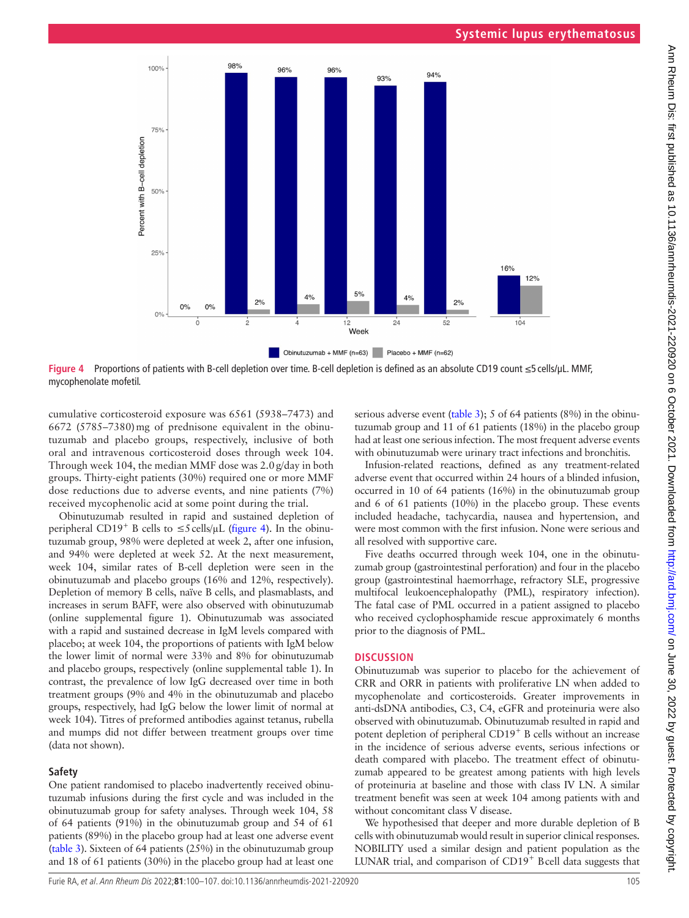

**Figure 4** Proportions of patients with B-cell depletion over time. B-cell depletion is defined as an absolute CD19 count ≤5 cells/µL. MMF, mycophenolate mofetil.

cumulative corticosteroid exposure was 6561 (5938–7473) and 6672 (5785–7380)mg of prednisone equivalent in the obinutuzumab and placebo groups, respectively, inclusive of both oral and intravenous corticosteroid doses through week 104. Through week 104, the median MMF dose was 2.0g/day in both groups. Thirty-eight patients (30%) required one or more MMF dose reductions due to adverse events, and nine patients (7%) received mycophenolic acid at some point during the trial.

Obinutuzumab resulted in rapid and sustained depletion of peripheral CD19<sup>+</sup> B cells to  $\leq$ 5 cells/ $\mu$ L [\(figure](#page-5-0) 4). In the obinutuzumab group, 98% were depleted at week 2, after one infusion, and 94% were depleted at week 52. At the next measurement, week 104, similar rates of B-cell depletion were seen in the obinutuzumab and placebo groups (16% and 12%, respectively). Depletion of memory B cells, naïve B cells, and plasmablasts, and increases in serum BAFF, were also observed with obinutuzumab ([online supplemental figure 1](https://dx.doi.org/10.1136/annrheumdis-2021-220920)). Obinutuzumab was associated with a rapid and sustained decrease in IgM levels compared with placebo; at week 104, the proportions of patients with IgM below the lower limit of normal were 33% and 8% for obinutuzumab and placebo groups, respectively [\(online supplemental table 1\)](https://dx.doi.org/10.1136/annrheumdis-2021-220920). In contrast, the prevalence of low IgG decreased over time in both treatment groups (9% and 4% in the obinutuzumab and placebo groups, respectively, had IgG below the lower limit of normal at week 104). Titres of preformed antibodies against tetanus, rubella and mumps did not differ between treatment groups over time (data not shown).

# **Safety**

One patient randomised to placebo inadvertently received obinutuzumab infusions during the first cycle and was included in the obinutuzumab group for safety analyses. Through week 104, 58 of 64 patients (91%) in the obinutuzumab group and 54 of 61 patients (89%) in the placebo group had at least one adverse event ([table](#page-6-0) 3). Sixteen of 64 patients (25%) in the obinutuzumab group and 18 of 61 patients (30%) in the placebo group had at least one

<span id="page-5-0"></span>serious adverse event [\(table](#page-6-0) 3); 5 of 64 patients (8%) in the obinutuzumab group and 11 of 61 patients (18%) in the placebo group had at least one serious infection. The most frequent adverse events with obinutuzumab were urinary tract infections and bronchitis.

Infusion-related reactions, defined as any treatment-related adverse event that occurred within 24 hours of a blinded infusion, occurred in 10 of 64 patients (16%) in the obinutuzumab group and 6 of 61 patients (10%) in the placebo group. These events included headache, tachycardia, nausea and hypertension, and were most common with the first infusion. None were serious and all resolved with supportive care.

Five deaths occurred through week 104, one in the obinutuzumab group (gastrointestinal perforation) and four in the placebo group (gastrointestinal haemorrhage, refractory SLE, progressive multifocal leukoencephalopathy (PML), respiratory infection). The fatal case of PML occurred in a patient assigned to placebo who received cyclophosphamide rescue approximately 6 months prior to the diagnosis of PML.

# **DISCUSSION**

Obinutuzumab was superior to placebo for the achievement of CRR and ORR in patients with proliferative LN when added to mycophenolate and corticosteroids. Greater improvements in anti-dsDNA antibodies, C3, C4, eGFR and proteinuria were also observed with obinutuzumab. Obinutuzumab resulted in rapid and potent depletion of peripheral CD19<sup>+</sup> B cells without an increase in the incidence of serious adverse events, serious infections or death compared with placebo. The treatment effect of obinutuzumab appeared to be greatest among patients with high levels of proteinuria at baseline and those with class IV LN. A similar treatment benefit was seen at week 104 among patients with and without concomitant class V disease.

We hypothesised that deeper and more durable depletion of B cells with obinutuzumab would result in superior clinical responses. NOBILITY used a similar design and patient population as the LUNAR trial, and comparison of CD19+ Bcell data suggests that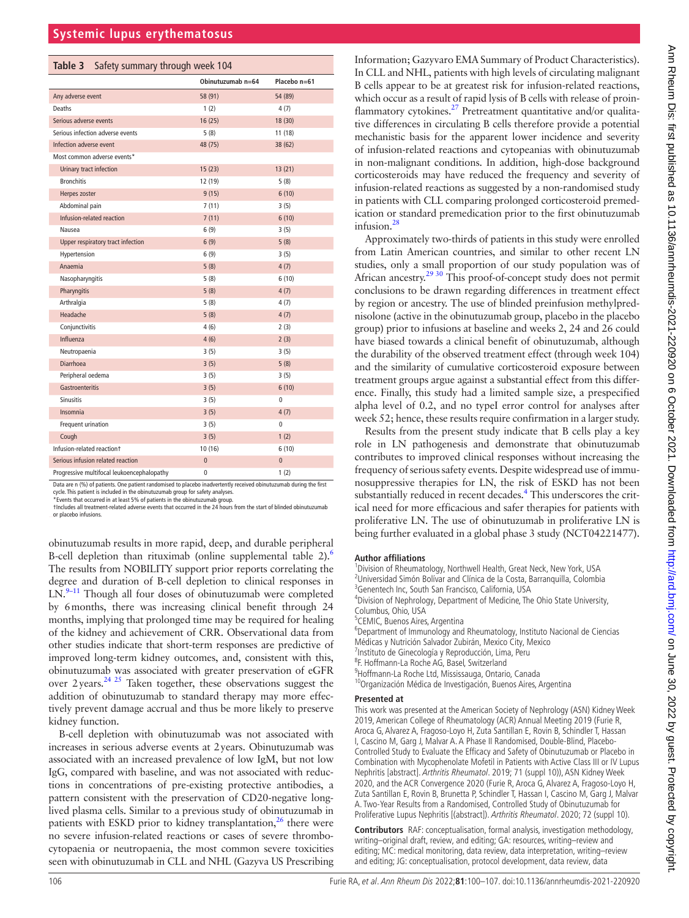<span id="page-6-0"></span>

|  |  | Table 3 Safety summary through week 104 |
|--|--|-----------------------------------------|
|  |  |                                         |

|                                            | Obinutuzumab n=64 | Placebo n=61 |  |
|--------------------------------------------|-------------------|--------------|--|
| Any adverse event                          | 58 (91)           | 54 (89)      |  |
| Deaths                                     | 1(2)              | 4(7)         |  |
| Serious adverse events                     | 16(25)            | 18 (30)      |  |
| Serious infection adverse events           | 5(8)              | 11(18)       |  |
| Infection adverse event                    | 48 (75)           | 38 (62)      |  |
| Most common adverse events*                |                   |              |  |
| Urinary tract infection                    | 15(23)            | 13(21)       |  |
| <b>Bronchitis</b>                          | 12 (19)           | 5(8)         |  |
| Herpes zoster                              | 9(15)             | 6(10)        |  |
| Abdominal pain                             | 7(11)             | 3(5)         |  |
| Infusion-related reaction                  | 7(11)             | 6(10)        |  |
| Nausea                                     | 6 (9)             | 3(5)         |  |
| Upper respiratory tract infection          | 6(9)              | 5(8)         |  |
| Hypertension                               | 6(9)              | 3(5)         |  |
| Anaemia                                    | 5(8)              | 4(7)         |  |
| Nasopharyngitis                            | 5(8)              | 6(10)        |  |
| Pharyngitis                                | 5(8)              | 4(7)         |  |
| Arthralgia                                 | 5(8)              | 4(7)         |  |
| Headache                                   | 5(8)              | 4(7)         |  |
| Conjunctivitis                             | 4(6)              | 2(3)         |  |
| Influenza                                  | 4(6)              | 2(3)         |  |
| Neutropaenia                               | 3(5)              | 3(5)         |  |
| <b>Diarrhoea</b>                           | 3(5)              | 5(8)         |  |
| Peripheral oedema                          | 3(5)              | 3(5)         |  |
| <b>Gastroenteritis</b>                     | 3(5)              | 6(10)        |  |
| <b>Sinusitis</b>                           | 3(5)              | 0            |  |
| Insomnia                                   | 3(5)              | 4(7)         |  |
| Frequent urination                         | 3(5)              | 0            |  |
| Cough                                      | 3(5)              | 1(2)         |  |
| Infusion-related reactiont                 | 10 (16)           | 6(10)        |  |
| Serious infusion related reaction          | $\overline{0}$    | $\pmb{0}$    |  |
| Progressive multifocal leukoencephalopathy | 0                 | 1(2)         |  |

Data are n (%) of patients. One patient randomised to placebo inadvertently received obinutuzumab during the first cycle. This patient is included in the obinutuzumab group for safety analyses. \*Events that occurred in at least 5% of patients in the obinutuzumab group.

†Includes all treatment-related adverse events that occurred in the 24 hours from the start of blinded obinutuzumab or placebo infusions.

obinutuzumab results in more rapid, deep, and durable peripheral B-cell depletion than rituximab [\(online supplemental table 2](https://dx.doi.org/10.1136/annrheumdis-2021-220920)).<sup>6</sup> The results from NOBILITY support prior reports correlating the degree and duration of B-cell depletion to clinical responses in  $LN^{9-11}$  Though all four doses of obinutuzumab were completed by 6months, there was increasing clinical benefit through 24 months, implying that prolonged time may be required for healing of the kidney and achievement of CRR. Observational data from other studies indicate that short-term responses are predictive of improved long-term kidney outcomes, and, consistent with this, obinutuzumab was associated with greater preservation of eGFR over  $2$  years.<sup>[24 25](#page-7-12)</sup> Taken together, these observations suggest the addition of obinutuzumab to standard therapy may more effectively prevent damage accrual and thus be more likely to preserve kidney function.

B-cell depletion with obinutuzumab was not associated with increases in serious adverse events at 2years. Obinutuzumab was associated with an increased prevalence of low IgM, but not low IgG, compared with baseline, and was not associated with reductions in concentrations of pre-existing protective antibodies, a pattern consistent with the preservation of CD20-negative longlived plasma cells. Similar to a previous study of obinutuzumab in patients with ESKD prior to kidney transplantation, $^{26}$  $^{26}$  $^{26}$  there were no severe infusion-related reactions or cases of severe thrombocytopaenia or neutropaenia, the most common severe toxicities seen with obinutuzumab in CLL and NHL (Gazyva US Prescribing

Information; Gazyvaro EMA Summary of Product Characteristics). In CLL and NHL, patients with high levels of circulating malignant B cells appear to be at greatest risk for infusion-related reactions, which occur as a result of rapid lysis of B cells with release of proinflammatory cytokines[.27](#page-7-14) Pretreatment quantitative and/or qualitative differences in circulating B cells therefore provide a potential mechanistic basis for the apparent lower incidence and severity of infusion-related reactions and cytopeanias with obinutuzumab in non-malignant conditions. In addition, high-dose background corticosteroids may have reduced the frequency and severity of infusion-related reactions as suggested by a non-randomised study in patients with CLL comparing prolonged corticosteroid premedication or standard premedication prior to the first obinutuzumab infusion.<sup>28</sup>

Approximately two-thirds of patients in this study were enrolled from Latin American countries, and similar to other recent LN studies, only a small proportion of our study population was of African ancestry[.29 30](#page-7-16) This proof-of-concept study does not permit conclusions to be drawn regarding differences in treatment effect by region or ancestry. The use of blinded preinfusion methylprednisolone (active in the obinutuzumab group, placebo in the placebo group) prior to infusions at baseline and weeks 2, 24 and 26 could have biased towards a clinical benefit of obinutuzumab, although the durability of the observed treatment effect (through week 104) and the similarity of cumulative corticosteroid exposure between treatment groups argue against a substantial effect from this difference. Finally, this study had a limited sample size, a prespecified alpha level of 0.2, and no typeI error control for analyses after week 52; hence, these results require confirmation in a larger study.

Results from the present study indicate that B cells play a key role in LN pathogenesis and demonstrate that obinutuzumab contributes to improved clinical responses without increasing the frequency of serious safety events. Despite widespread use of immunosuppressive therapies for LN, the risk of ESKD has not been substantially reduced in recent decades.<sup>4</sup> This underscores the critical need for more efficacious and safer therapies for patients with proliferative LN. The use of obinutuzumab in proliferative LN is being further evaluated in a global phase 3 study (NCT04221477).

#### **Author affiliations**

<sup>1</sup>Division of Rheumatology, Northwell Health, Great Neck, New York, USA <sup>2</sup>Universidad Simón Bolívar and Clínica de la Costa, Barranquilla, Colombia

- <sup>3</sup>Genentech Inc, South San Francisco, California, USA
- 4 Division of Nephrology, Department of Medicine, The Ohio State University, Columbus, Ohio, USA

5 CEMIC, Buenos Aires, Argentina

<sup>6</sup>Department of Immunology and Rheumatology, Instituto Nacional de Ciencias

Médicas y Nutrición Salvador Zubirán, Mexico City, Mexico

7 Instituto de Ginecología y Reproducción, Lima, Peru

<sup>8</sup>F. Hoffmann-La Roche AG, Basel, Switzerland<br><sup>9</sup>Hoffmann La Roche Ltd, Mississauga, Ontari

- 
- <sup>4</sup>Hoffmann-La Roche Ltd, Mississauga, Ontario, Canada<br><sup>10</sup>Organización Médica de Investigación, Buenos Aires, Argentina

#### **Presented at**

This work was presented at the American Society of Nephrology (ASN) Kidney Week 2019, American College of Rheumatology (ACR) Annual Meeting 2019 (Furie R, Aroca G, Alvarez A, Fragoso-Loyo H, Zuta Santillan E, Rovin B, Schindler T, Hassan I, Cascino M, Garg J, Malvar A. A Phase II Randomised, Double-Blind, Placebo-Controlled Study to Evaluate the Efficacy and Safety of Obinutuzumab or Placebo in Combination with Mycophenolate Mofetil in Patients with Active Class III or IV Lupus Nephritis [abstract]. Arthritis Rheumatol. 2019; 71 (suppl 10)), ASN Kidney Week 2020, and the ACR Convergence 2020 (Furie R, Aroca G, Alvarez A, Fragoso-Loyo H, Zuta Santillan E, Rovin B, Brunetta P, Schindler T, Hassan I, Cascino M, Garg J, Malvar A. Two-Year Results from a Randomised, Controlled Study of Obinutuzumab for Proliferative Lupus Nephritis [(abstract]). Arthritis Rheumatol. 2020; 72 (suppl 10).

**Contributors** RAF: conceptualisation, formal analysis, investigation methodology, writing–original draft, review, and editing; GA: resources, writing–review and editing; MC: medical monitoring, data review, data interpretation, writing–review and editing; JG: conceptualisation, protocol development, data review, data